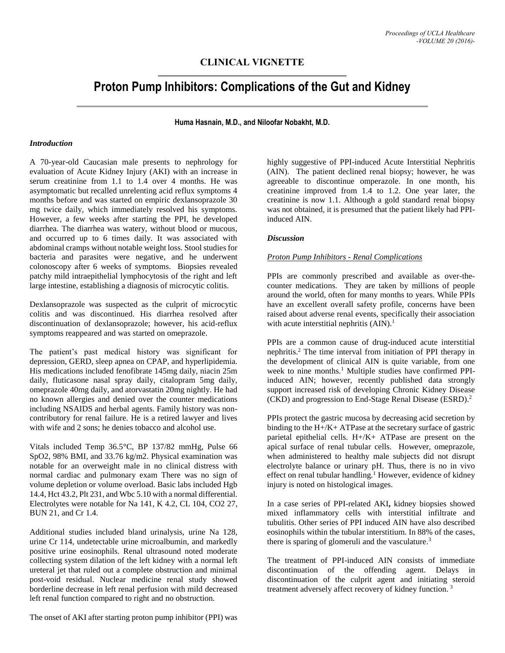# **CLINICAL VIGNETTE**

# **Proton Pump Inhibitors: Complications of the Gut and Kidney**

**Huma Hasnain, M.D., and Niloofar Nobakht, M.D.**

## *Introduction*

A 70-year-old Caucasian male presents to nephrology for evaluation of Acute Kidney Injury (AKI) with an increase in serum creatinine from 1.1 to 1.4 over 4 months. He was asymptomatic but recalled unrelenting acid reflux symptoms 4 months before and was started on empiric dexlansoprazole 30 mg twice daily, which immediately resolved his symptoms. However, a few weeks after starting the PPI, he developed diarrhea. The diarrhea was watery, without blood or mucous, and occurred up to 6 times daily. It was associated with abdominal cramps without notable weight loss. Stool studies for bacteria and parasites were negative, and he underwent colonoscopy after 6 weeks of symptoms. Biopsies revealed patchy mild intraepithelial lymphocytosis of the right and left large intestine, establishing a diagnosis of microcytic colitis.

Dexlansoprazole was suspected as the culprit of microcytic colitis and was discontinued. His diarrhea resolved after discontinuation of dexlansoprazole; however, his acid-reflux symptoms reappeared and was started on omeprazole.

The patient's past medical history was significant for depression, GERD, sleep apnea on CPAP, and hyperlipidemia. His medications included fenofibrate 145mg daily, niacin 25m daily, fluticasone nasal spray daily, citalopram 5mg daily, omeprazole 40mg daily, and atorvastatin 20mg nightly. He had no known allergies and denied over the counter medications including NSAIDS and herbal agents. Family history was noncontributory for renal failure. He is a retired lawyer and lives with wife and 2 sons; he denies tobacco and alcohol use.

Vitals included Temp 36.5°C, BP 137/82 mmHg, Pulse 66 SpO2, 98% BMI, and 33.76 kg/m2. Physical examination was notable for an overweight male in no clinical distress with normal cardiac and pulmonary exam There was no sign of volume depletion or volume overload. Basic labs included Hgb 14.4, Hct 43.2, Plt 231, and Wbc 5.10 with a normal differential. Electrolytes were notable for Na 141, K 4.2, CL 104, CO2 27, BUN 21, and Cr 1.4.

Additional studies included bland urinalysis, urine Na 128, urine Cr 114, undetectable urine microalbumin, and markedly positive urine eosinophils. Renal ultrasound noted moderate collecting system dilation of the left kidney with a normal left ureteral jet that ruled out a complete obstruction and minimal post-void residual. Nuclear medicine renal study showed borderline decrease in left renal perfusion with mild decreased left renal function compared to right and no obstruction.

The onset of AKI after starting proton pump inhibitor (PPI) was

highly suggestive of PPI-induced Acute Interstitial Nephritis (AIN). The patient declined renal biopsy; however, he was agreeable to discontinue omperazole. In one month, his creatinine improved from 1.4 to 1.2. One year later, the creatinine is now 1.1. Although a gold standard renal biopsy was not obtained, it is presumed that the patient likely had PPIinduced AIN.

#### *Discussion*

#### *Proton Pump Inhibitors - Renal Complications*

PPIs are commonly prescribed and available as over-thecounter medications. They are taken by millions of people around the world, often for many months to years. While PPIs have an excellent overall safety profile, concerns have been raised about adverse renal events, specifically their association with acute interstitial nephritis  $(AIN)^{1}$ .

PPIs are a common cause of drug-induced acute interstitial nephritis.<sup>2</sup> The time interval from initiation of PPI therapy in the development of clinical AIN is quite variable, from one week to nine months.<sup>1</sup> Multiple studies have confirmed PPIinduced AIN; however, recently published data strongly support increased risk of developing Chronic Kidney Disease (CKD) and progression to End-Stage Renal Disease (ESRD). 2

PPIs protect the gastric mucosa by decreasing acid secretion by binding to the H+/K+ ATPase at the secretary surface of gastric parietal epithelial cells. H+/K+ ATPase are present on the apical surface of renal tubular cells. However, omeprazole, when administered to healthy male subjects did not disrupt electrolyte balance or urinary pH. Thus, there is no in vivo effect on renal tubular handling.<sup>1</sup> However, evidence of kidney injury is noted on histological images.

In a case series of PPI-related AKI**,** kidney biopsies showed mixed inflammatory cells with interstitial infiltrate and tubulitis. Other series of PPI induced AIN have also described eosinophils within the tubular interstitium. In 88% of the cases, there is sparing of glomeruli and the vasculature.<sup>3</sup>

The treatment of PPI-induced AIN consists of immediate discontinuation of the offending agent. Delays in discontinuation of the culprit agent and initiating steroid treatment adversely affect recovery of kidney function.<sup>3</sup>